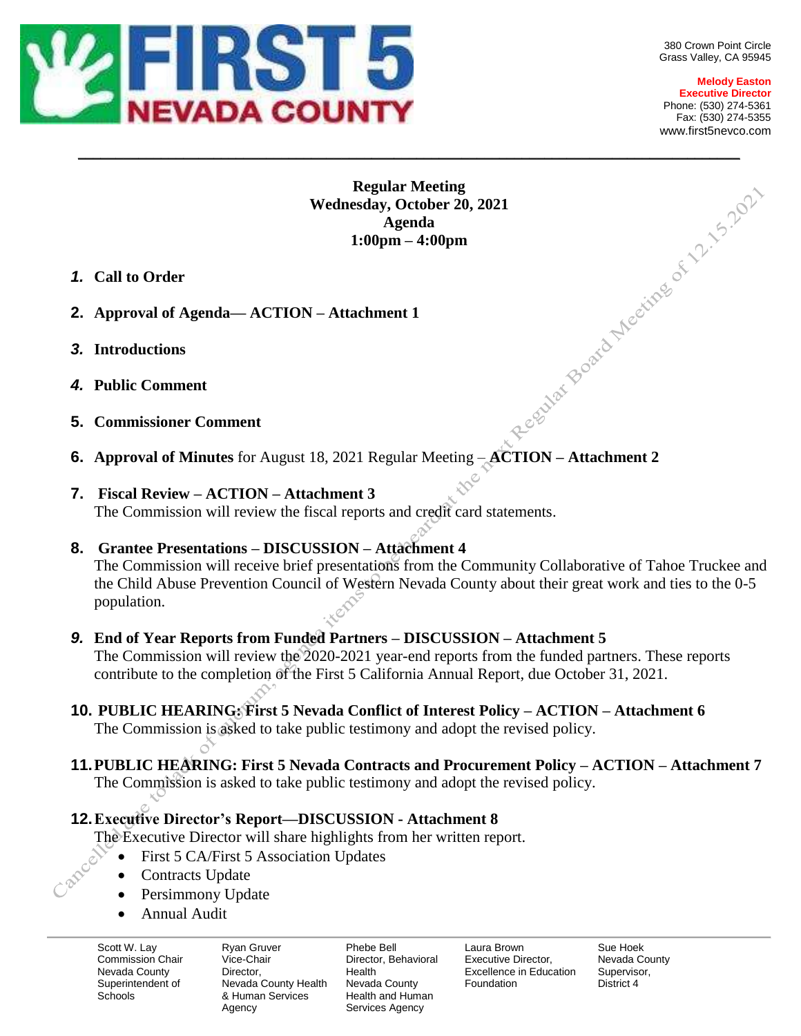

**Melody Easton Executive Director** Phone: (530) 274-5361 Fax: (530) 274-5355 www.first5nevco.com

# **Regular Meeting**  Wednesday, October 20, 2021<br>
Agenda<br>
1:00pm – 4:00pm<br>  $N - Attachment 1$ **Agenda 1:00pm – 4:00pm**

\_\_\_\_\_\_\_\_\_\_\_\_\_\_\_\_\_\_\_\_\_\_\_\_\_\_\_\_\_\_\_\_\_\_\_\_\_\_\_\_\_\_\_\_\_\_\_\_\_\_\_\_\_\_\_\_\_\_\_\_\_\_\_\_\_\_\_\_\_\_\_\_\_\_\_\_\_\_\_\_\_\_\_\_\_\_\_\_

- *1.* **Call to Order**
- **2. Approval of Agenda— ACTION – Attachment 1**
- *3.* **Introductions**
- *4.* **Public Comment**
- **5. Commissioner Comment**
- **6. Approval of Minutes** for August 18, 2021 Regular Meeting **ACTION – Attachment 2**
- **7. Fiscal Review – ACTION – Attachment 3** The Commission will review the fiscal reports and credit card statements.

# **8. Grantee Presentations – DISCUSSION – Attachment 4**

The Commission will receive brief presentations from the Community Collaborative of Tahoe Truckee and the Child Abuse Prevention Council of Western Nevada County about their great work and ties to the 0-5 population.

# *9.* **End of Year Reports from Funded Partners – DISCUSSION – Attachment 5**

The Commission will review the 2020-2021 year-end reports from the funded partners. These reports contribute to the completion of the First 5 California Annual Report, due October 31, 2021.

# **10. PUBLIC HEARING: First 5 Nevada Conflict of Interest Policy – ACTION – Attachment 6**

The Commission is asked to take public testimony and adopt the revised policy.

### **11.PUBLIC HEARING: First 5 Nevada Contracts and Procurement Policy – ACTION – Attachment 7** The Commission is asked to take public testimony and adopt the revised policy.

# **12.Executive Director's Report—DISCUSSION - Attachment 8**

The Executive Director will share highlights from her written report.

- First 5 CA/First 5 Association Updates
- Contracts Update
- Persimmony Update

Ō

Annual Audit

Scott W. Lay Commission Chair Nevada County Superintendent of **Schools** 

Ryan Gruver Vice-Chair **Director** Nevada County Health & Human Services Agency

Phebe Bell Director, Behavioral Health Nevada County Health and Human Services Agency

Laura Brown Executive Director, Excellence in Education Foundation

Sue Hoek Nevada County Supervisor, District 4